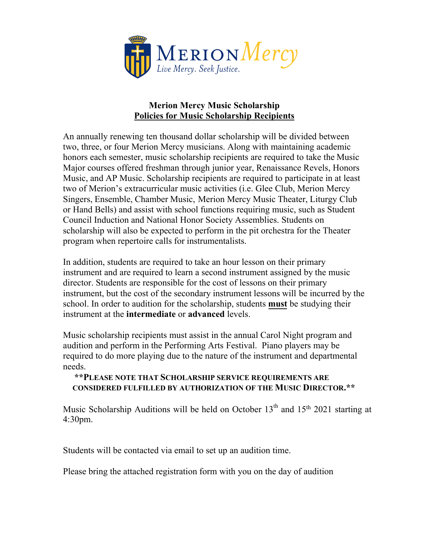

## **Merion Mercy Music Scholarship Policies for Music Scholarship Recipients**

An annually renewing ten thousand dollar scholarship will be divided between two, three, or four Merion Mercy musicians. Along with maintaining academic honors each semester, music scholarship recipients are required to take the Music Major courses offered freshman through junior year, Renaissance Revels, Honors Music, and AP Music. Scholarship recipients are required to participate in at least two of Merion's extracurricular music activities (i.e. Glee Club, Merion Mercy Singers, Ensemble, Chamber Music, Merion Mercy Music Theater, Liturgy Club or Hand Bells) and assist with school functions requiring music, such as Student Council Induction and National Honor Society Assemblies. Students on scholarship will also be expected to perform in the pit orchestra for the Theater program when repertoire calls for instrumentalists.

In addition, students are required to take an hour lesson on their primary instrument and are required to learn a second instrument assigned by the music director. Students are responsible for the cost of lessons on their primary instrument, but the cost of the secondary instrument lessons will be incurred by the school. In order to audition for the scholarship, students **must** be studying their instrument at the **intermediate** or **advanced** levels.

Music scholarship recipients must assist in the annual Carol Night program and audition and perform in the Performing Arts Festival. Piano players may be required to do more playing due to the nature of the instrument and departmental needs.

## **\*\*PLEASE NOTE THAT SCHOLARSHIP SERVICE REQUIREMENTS ARE CONSIDERED FULFILLED BY AUTHORIZATION OF THE MUSIC DIRECTOR.\*\***

Music Scholarship Auditions will be held on October 13<sup>th</sup> and 15<sup>th</sup> 2021 starting at 4:30pm.

Students will be contacted via email to set up an audition time.

Please bring the attached registration form with you on the day of audition